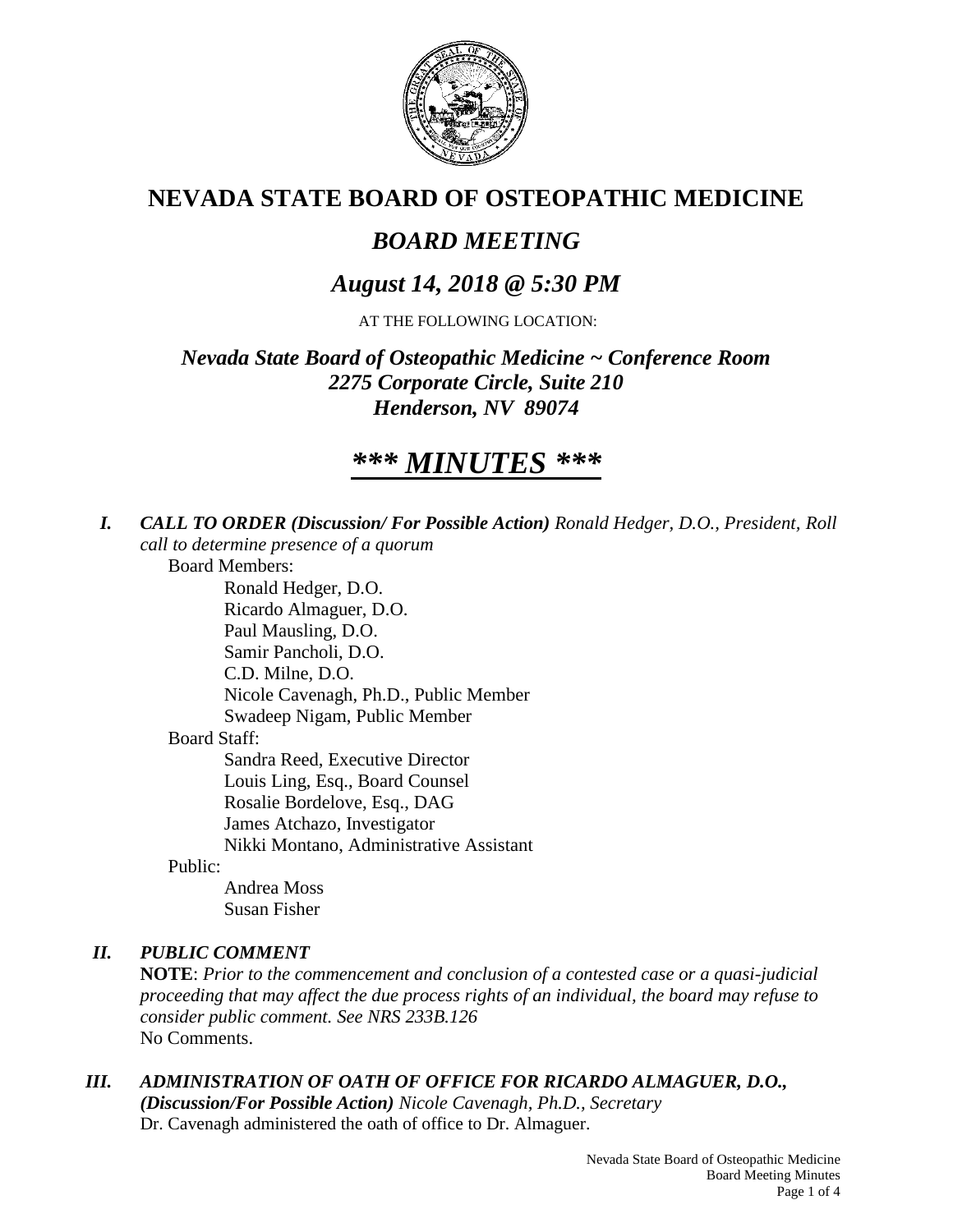

# **NEVADA STATE BOARD OF OSTEOPATHIC MEDICINE**

# *BOARD MEETING*

## *August 14, 2018 @ 5:30 PM*

AT THE FOLLOWING LOCATION:

## *Nevada State Board of Osteopathic Medicine ~ Conference Room 2275 Corporate Circle, Suite 210 Henderson, NV 89074*

# *\*\*\* MINUTES \*\*\**

*I. CALL TO ORDER (Discussion/ For Possible Action) Ronald Hedger, D.O., President, Roll call to determine presence of a quorum*

Board Members:

Ronald Hedger, D.O. Ricardo Almaguer, D.O. Paul Mausling, D.O. Samir Pancholi, D.O. C.D. Milne, D.O. Nicole Cavenagh, Ph.D., Public Member Swadeep Nigam, Public Member Board Staff: Sandra Reed, Executive Director Louis Ling, Esq., Board Counsel Rosalie Bordelove, Esq., DAG James Atchazo, Investigator Nikki Montano, Administrative Assistant

Public:

Andrea Moss Susan Fisher

## *II. PUBLIC COMMENT*

**NOTE**: *Prior to the commencement and conclusion of a contested case or a quasi-judicial proceeding that may affect the due process rights of an individual, the board may refuse to consider public comment. See NRS 233B.126* No Comments.

## *III. ADMINISTRATION OF OATH OF OFFICE FOR RICARDO ALMAGUER, D.O.,*

*(Discussion/For Possible Action) Nicole Cavenagh, Ph.D., Secretary*  Dr. Cavenagh administered the oath of office to Dr. Almaguer.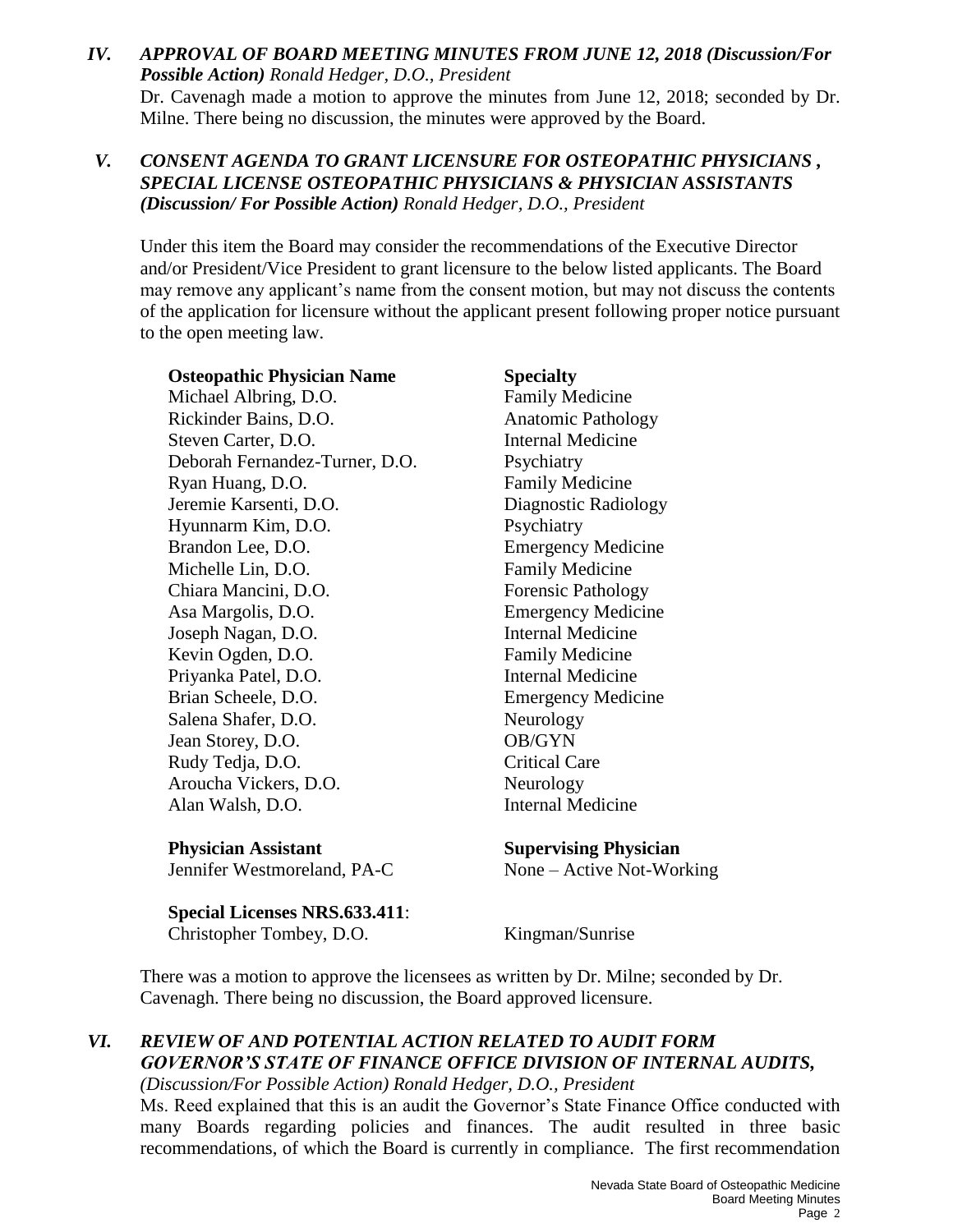## *IV. APPROVAL OF BOARD MEETING MINUTES FROM JUNE 12, 2018 (Discussion/For Possible Action) Ronald Hedger, D.O., President* Dr. Cavenagh made a motion to approve the minutes from June 12, 2018; seconded by Dr. Milne. There being no discussion, the minutes were approved by the Board.

## *V. CONSENT AGENDA TO GRANT LICENSURE FOR OSTEOPATHIC PHYSICIANS , SPECIAL LICENSE OSTEOPATHIC PHYSICIANS & PHYSICIAN ASSISTANTS (Discussion/ For Possible Action) Ronald Hedger, D.O., President*

Under this item the Board may consider the recommendations of the Executive Director and/or President/Vice President to grant licensure to the below listed applicants. The Board may remove any applicant's name from the consent motion, but may not discuss the contents of the application for licensure without the applicant present following proper notice pursuant to the open meeting law.

**Osteopathic Physician Name Specialty** Michael Albring, D.O. Family Medicine Rickinder Bains, D.O. **Anatomic Pathology** Steven Carter, D.O. **Internal Medicine** Deborah Fernandez-Turner, D.O. Psychiatry Ryan Huang, D.O. Family Medicine Jeremie Karsenti, D.O. Diagnostic Radiology Hyunnarm Kim, D.O. Psychiatry Brandon Lee, D.O. Emergency Medicine Michelle Lin, D.O. **Family Medicine** Chiara Mancini, D.O. Forensic Pathology Asa Margolis, D.O. Emergency Medicine Joseph Nagan, D.O. Internal Medicine Kevin Ogden, D.O. **Family Medicine** Priyanka Patel, D.O. Internal Medicine Brian Scheele, D.O. Emergency Medicine Salena Shafer, D.O. Neurology Jean Storey, D.O. **OB/GYN** Rudy Tedja, D.O. Critical Care Aroucha Vickers, D.O. Neurology Alan Walsh, D.O. Internal Medicine

**Physician Assistant Supervising Physician** 

**Special Licenses NRS.633.411**: Christopher Tombey, D.O. Kingman/Sunrise

Jennifer Westmoreland, PA-C None – Active Not-Working

There was a motion to approve the licensees as written by Dr. Milne; seconded by Dr. Cavenagh. There being no discussion, the Board approved licensure.

## *VI. REVIEW OF AND POTENTIAL ACTION RELATED TO AUDIT FORM GOVERNOR'S STATE OF FINANCE OFFICE DIVISION OF INTERNAL AUDITS,*

*(Discussion/For Possible Action) Ronald Hedger, D.O., President*

Ms. Reed explained that this is an audit the Governor's State Finance Office conducted with many Boards regarding policies and finances. The audit resulted in three basic recommendations, of which the Board is currently in compliance. The first recommendation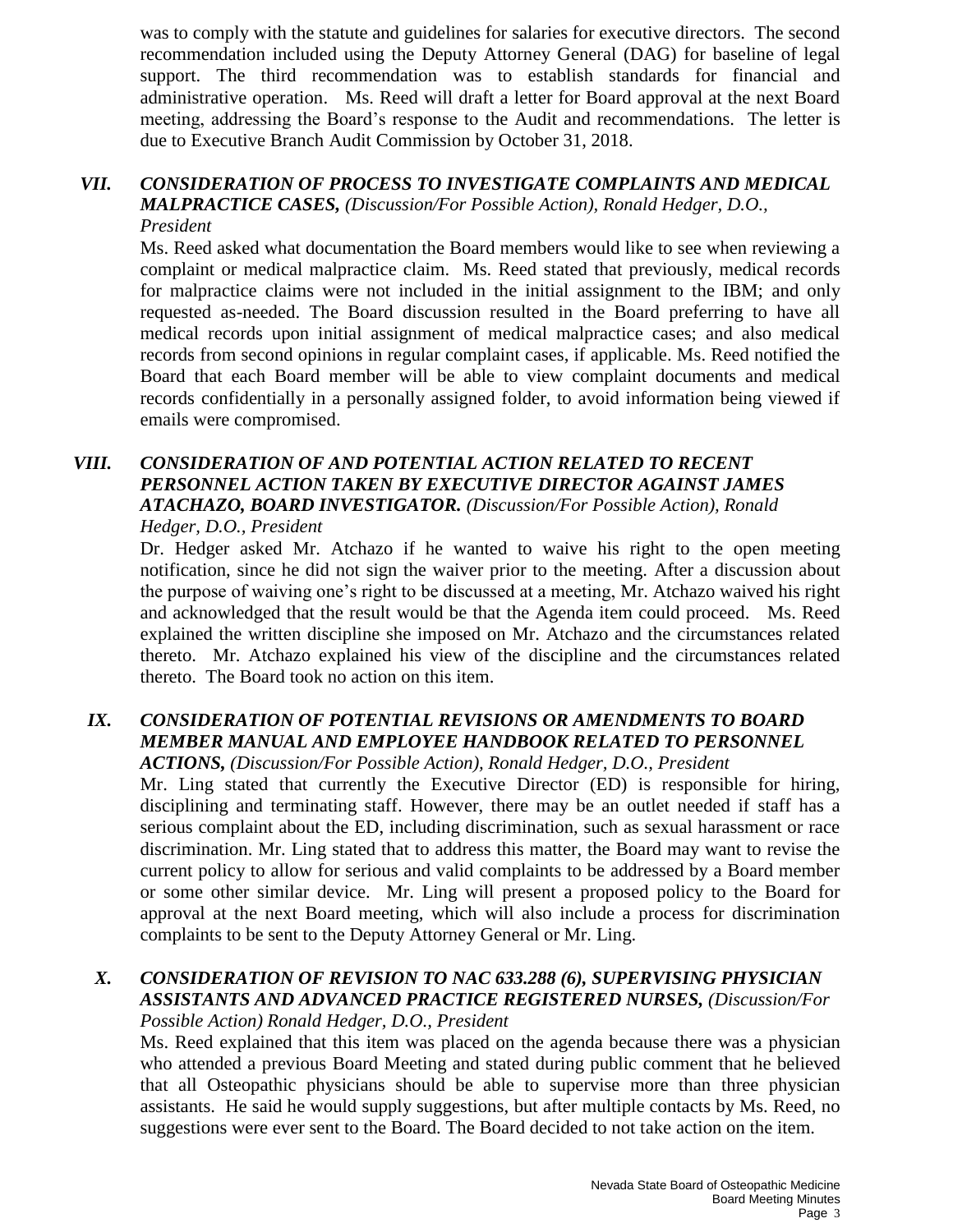was to comply with the statute and guidelines for salaries for executive directors. The second recommendation included using the Deputy Attorney General (DAG) for baseline of legal support. The third recommendation was to establish standards for financial and administrative operation. Ms. Reed will draft a letter for Board approval at the next Board meeting, addressing the Board's response to the Audit and recommendations. The letter is due to Executive Branch Audit Commission by October 31, 2018.

#### *VII. CONSIDERATION OF PROCESS TO INVESTIGATE COMPLAINTS AND MEDICAL MALPRACTICE CASES, (Discussion/For Possible Action), Ronald Hedger, D.O., President*

Ms. Reed asked what documentation the Board members would like to see when reviewing a complaint or medical malpractice claim. Ms. Reed stated that previously, medical records for malpractice claims were not included in the initial assignment to the IBM; and only requested as-needed. The Board discussion resulted in the Board preferring to have all medical records upon initial assignment of medical malpractice cases; and also medical records from second opinions in regular complaint cases, if applicable. Ms. Reed notified the Board that each Board member will be able to view complaint documents and medical records confidentially in a personally assigned folder, to avoid information being viewed if emails were compromised.

#### *VIII. CONSIDERATION OF AND POTENTIAL ACTION RELATED TO RECENT PERSONNEL ACTION TAKEN BY EXECUTIVE DIRECTOR AGAINST JAMES ATACHAZO, BOARD INVESTIGATOR. (Discussion/For Possible Action), Ronald Hedger, D.O., President*

Dr. Hedger asked Mr. Atchazo if he wanted to waive his right to the open meeting notification, since he did not sign the waiver prior to the meeting. After a discussion about the purpose of waiving one's right to be discussed at a meeting, Mr. Atchazo waived his right and acknowledged that the result would be that the Agenda item could proceed. Ms. Reed explained the written discipline she imposed on Mr. Atchazo and the circumstances related thereto. Mr. Atchazo explained his view of the discipline and the circumstances related thereto. The Board took no action on this item.

#### *IX. CONSIDERATION OF POTENTIAL REVISIONS OR AMENDMENTS TO BOARD MEMBER MANUAL AND EMPLOYEE HANDBOOK RELATED TO PERSONNEL ACTIONS, (Discussion/For Possible Action), Ronald Hedger, D.O., President*

Mr. Ling stated that currently the Executive Director (ED) is responsible for hiring, disciplining and terminating staff. However, there may be an outlet needed if staff has a serious complaint about the ED, including discrimination, such as sexual harassment or race discrimination. Mr. Ling stated that to address this matter, the Board may want to revise the current policy to allow for serious and valid complaints to be addressed by a Board member or some other similar device. Mr. Ling will present a proposed policy to the Board for approval at the next Board meeting, which will also include a process for discrimination complaints to be sent to the Deputy Attorney General or Mr. Ling.

## *X. CONSIDERATION OF REVISION TO NAC 633.288 (6), SUPERVISING PHYSICIAN ASSISTANTS AND ADVANCED PRACTICE REGISTERED NURSES, (Discussion/For Possible Action) Ronald Hedger, D.O., President*

Ms. Reed explained that this item was placed on the agenda because there was a physician who attended a previous Board Meeting and stated during public comment that he believed that all Osteopathic physicians should be able to supervise more than three physician assistants. He said he would supply suggestions, but after multiple contacts by Ms. Reed, no suggestions were ever sent to the Board. The Board decided to not take action on the item.